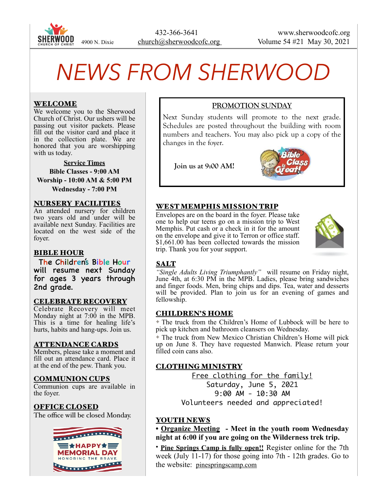

# *NEWS FROM SHERWOOD*

## WELCOME

We welcome you to the Sherwood Church of Christ. Our ushers will be passing out visitor packets. Please fill out the visitor card and place it in the collection plate. We are honored that you are worshipping with us today.

**Service Times Bible Classes - 9:00 AM Worship - 10:00 AM & 5:00 PM Wednesday - 7:00 PM** 

#### NURSERY FACILITIES

An attended nursery for children two years old and under will be available next Sunday. Facilities are located on the west side of the foyer.

#### BIBLE HOUR

The Children's Bible Hour will resume next Sunday for ages 3 years through 2nd grade.

#### CELEBRATE RECOVERY

Celebrate Recovery will meet Monday night at 7:00 in the MPB. This is a time for healing life's hurts, habits and hang-ups. Join us.

#### ATTENDANCE CARDS

Members, please take a moment and fill out an attendance card. Place it at the end of the pew. Thank you.

#### COMMUNION CUPS

Communion cups are available in the foyer.

#### OFFICE CLOSED

The office will be closed Monday.



# **PROMOTION SUNDAY**

Next Sunday students will promote to the next grade. Schedules are posted throughout the building with room numbers and teachers. You may also pick up a copy of the changes in the foyer.

**Join us at 9:00 AM!** 



#### WEST MEMPHIS MISSION TRIP

Envelopes are on the board in the foyer. Please take one to help our teens go on a mission trip to West Memphis. Put cash or a check in it for the amount on the envelope and give it to Terron or office staff. \$1,661.00 has been collected towards the mission trip. Thank you for your support.



#### **SALT**

*"Single Adults Living Triumphantly"* will resume on Friday night, June 4th, at 6:30 PM in the MPB. Ladies, please bring sandwiches and finger foods. Men, bring chips and dips. Tea, water and desserts will be provided. Plan to join us for an evening of games and fellowship.

#### CHILDREN'S HOME

✦ The truck from the Children's Home of Lubbock will be here to pick up kitchen and bathroom cleansers on Wednesday.

✦ The truck from New Mexico Christian Children's Home will pick up on June 8. They have requested Manwich. Please return your filled coin cans also.

# CLOTHING MINISTRY

Free clothing for the family! Saturday, June 5, 2021 9:00 AM - 10:30 AM Volunteers needed and appreciated!

#### YOUTH NEWS

**• Organize Meeting - Meet in the youth room Wednesday night at 6:00 if you are going on the Wilderness trek trip.** 

• **Pine Springs Camp is fully open!!** Register online for the 7th week (July 11-17) for those going into 7th - 12th grades. Go to the website: [pinespringscamp.com](http://pinespringscamp.com)